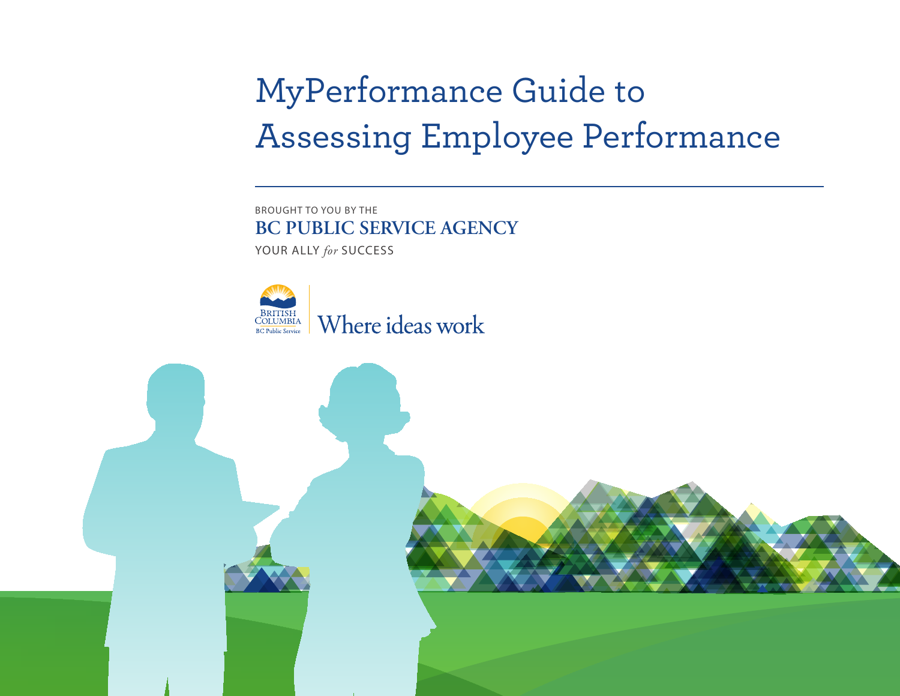# MyPerformance Guide to Assessing Employee Performance

 BROUGHT TO YOU BY THE YOUR ALLY *for* SUCCESS **BC PUBLIC SERVICE AGENCY** 



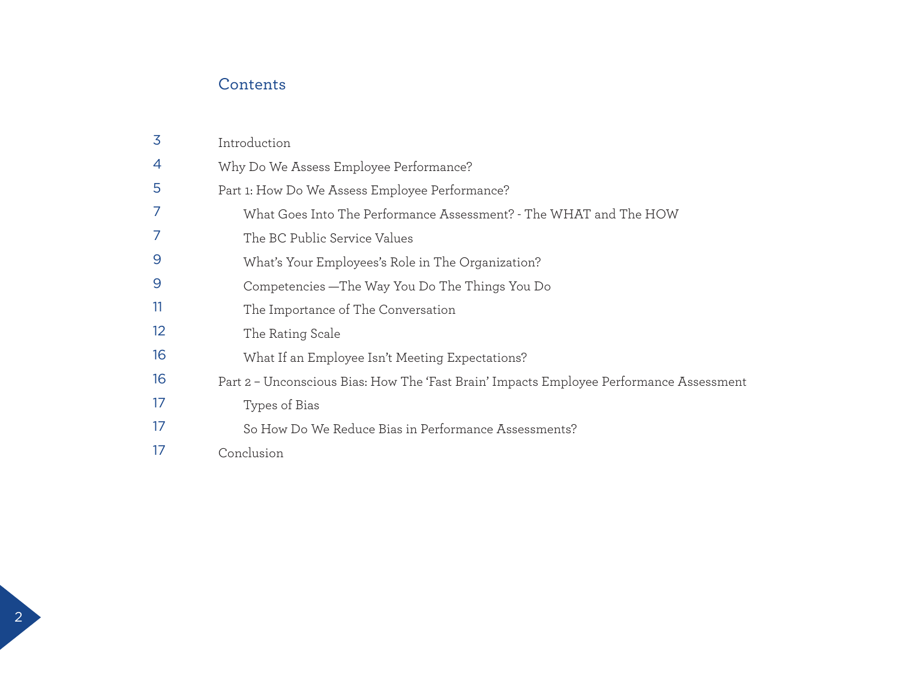# **Contents**

| 3               | Introduction                                                                            |
|-----------------|-----------------------------------------------------------------------------------------|
| 4               | Why Do We Assess Employee Performance?                                                  |
| 5               | Part 1: How Do We Assess Employee Performance?                                          |
| 7               | What Goes Into The Performance Assessment? - The WHAT and The HOW                       |
|                 | The BC Public Service Values                                                            |
| 9               | What's Your Employees's Role in The Organization?                                       |
| 9               | Competencies — The Way You Do The Things You Do                                         |
| 11              | The Importance of The Conversation                                                      |
| 12 <sup>°</sup> | The Rating Scale                                                                        |
| 16              | What If an Employee Isn't Meeting Expectations?                                         |
| 16              | Part 2 - Unconscious Bias: How The 'Fast Brain' Impacts Employee Performance Assessment |
| 17              | Types of Bias                                                                           |
| 17              | So How Do We Reduce Bias in Performance Assessments?                                    |
| 17              | Conclusion                                                                              |

 $\overline{2}$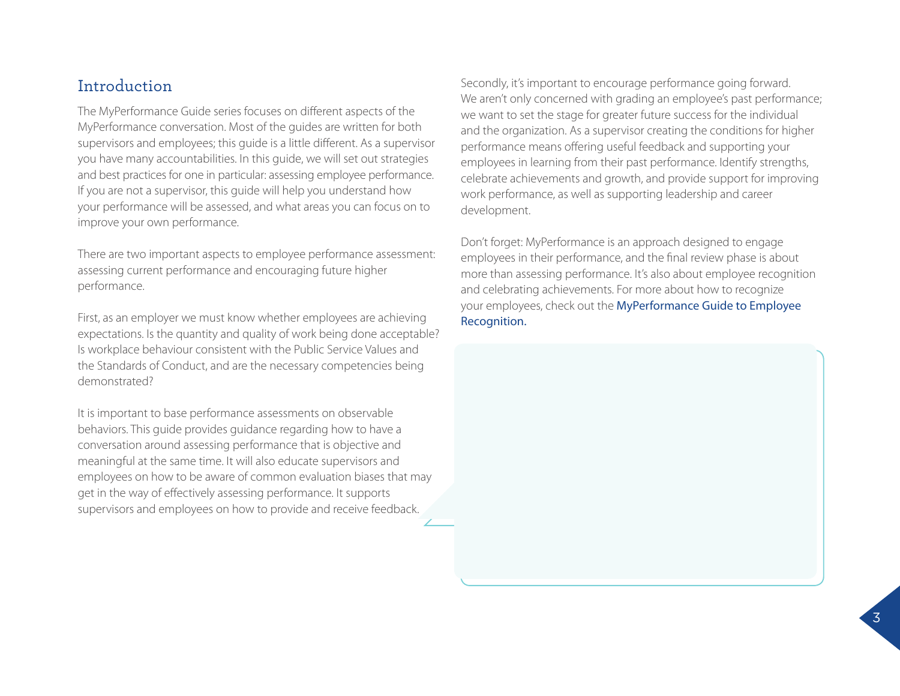## Introduction

The MyPerformance Guide series focuses on different aspects of the MyPerformance conversation. Most of the guides are written for both supervisors and employees; this guide is a little different. As a supervisor you have many accountabilities. In this guide, we will set out strategies and best practices for one in particular: assessing employee performance. If you are not a supervisor, this guide will help you understand how your performance will be assessed, and what areas you can focus on to improve your own performance.

There are two important aspects to employee performance assessment: assessing current performance and encouraging future higher performance.

First, as an employer we must know whether employees are achieving expectations. Is the quantity and quality of work being done acceptable? Is workplace behaviour consistent with the Public Service Values and the Standards of Conduct, and are the necessary competencies being *demonstrated?* 

It is important to base performance assessments on observable behaviors. This guide provides guidance regarding how to have a<br>conversation around assessing performance that is objective and<br>meaningful at the same time. It will also educate supervisors and<br>employees on how to be aware get in the way of effectively assessing performance. It supports supervisors and employees on how to provide and receive feedback.

Secondly, it's important to encourage performance going forward. We aren't only concerned with grading an employee's past performance; we want to set the stage for greater future success for the individual and the organization. As a supervisor creating the conditions for higher performance means offering useful feedback and supporting your employees in learning from their past performance. Identify strengths, celebrate achievements and growth, and provide support for improving work performance, as well as supporting leadership and career development.

Don't forget: MyPerformance is an approach designed to engage employees in their performance, and the final review phase is about more than assessing performance. It's also about employee recognition and celebrating achievements. For more about how to recognize your employees, check out the [MyPerformance Guide to Employee](http://www2.gov.bc.ca/local/myhr/documents/performance_management/myperformance_employee.pdf)  [Recognition.](http://www2.gov.bc.ca/local/myhr/documents/performance_management/myperformance_employee.pdf) 

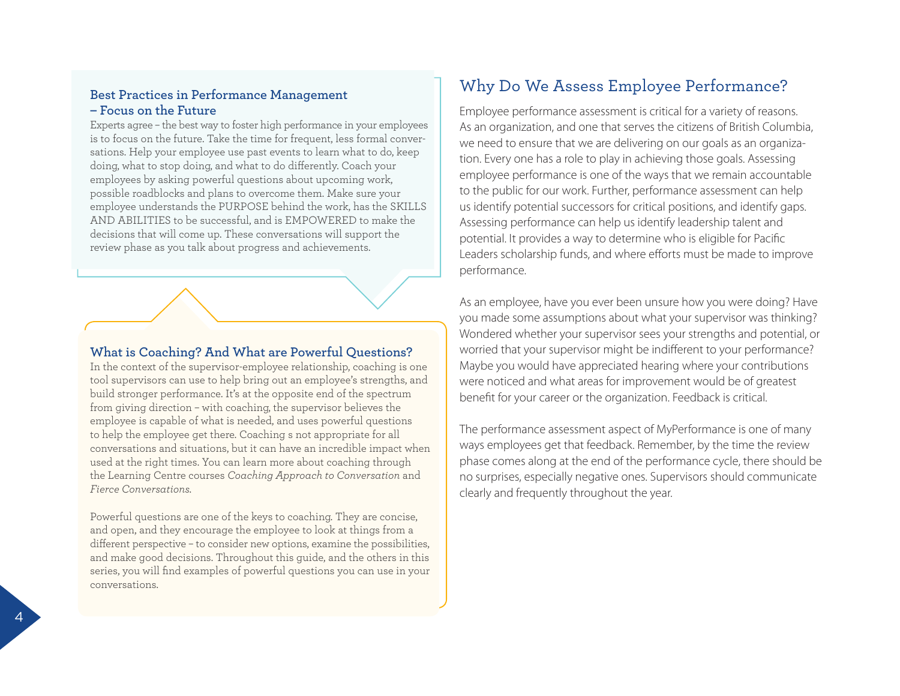#### **Best Practices in Performance Management – Focus on the Future**

Experts agree – the best way to foster high performance in your employees is to focus on the future. Take the time for frequent, less formal conversations. Help your employee use past events to learn what to do, keep doing, what to stop doing, and what to do differently. Coach your employees by asking powerful questions about upcoming work, possible roadblocks and plans to overcome them. Make sure your employee understands the PURPOSE behind the work, has the SKILLS AND ABILITIES to be successful, and is EMPOWERED to make the decisions that will come up. These conversations will support the review phase as you talk about progress and achievements.

#### **What is Coaching? And What are Powerful Questions?**

In the context of the supervisor-employee relationship, coaching is one tool supervisors can use to help bring out an employee's strengths, and build stronger performance. It's at the opposite end of the spectrum from giving direction – with coaching, the supervisor believes the employee is capable of what is needed, and uses powerful questions to help the employee get there. Coaching s not appropriate for all conversations and situations, but it can have an incredible impact when used at the right times. You can learn more about coaching through the Learning Centre courses *Coaching Approach to Conversation* and *Fierce Conversations.* 

Powerful questions are one of the keys to coaching. They are concise, and open, and they encourage the employee to look at things from a different perspective – to consider new options, examine the possibilities, and make good decisions. Throughout this guide, and the others in this series, you will find examples of powerful questions you can use in your conversations.

# Why Do We Assess Employee Performance?

Employee performance assessment is critical for a variety of reasons. As an organization, and one that serves the citizens of British Columbia, we need to ensure that we are delivering on our goals as an organization. Every one has a role to play in achieving those goals. Assessing employee performance is one of the ways that we remain accountable to the public for our work. Further, performance assessment can help us identify potential successors for critical positions, and identify gaps. Assessing performance can help us identify leadership talent and potential. It provides a way to determine who is eligible for Pacific Leaders scholarship funds, and where efforts must be made to improve performance.

As an employee, have you ever been unsure how you were doing? Have you made some assumptions about what your supervisor was thinking? Wondered whether your supervisor sees your strengths and potential, or worried that your supervisor might be indifferent to your performance? Maybe you would have appreciated hearing where your contributions were noticed and what areas for improvement would be of greatest benefit for your career or the organization. Feedback is critical.

The performance assessment aspect of MyPerformance is one of many ways employees get that feedback. Remember, by the time the review phase comes along at the end of the performance cycle, there should be no surprises, especially negative ones. Supervisors should communicate clearly and frequently throughout the year.

4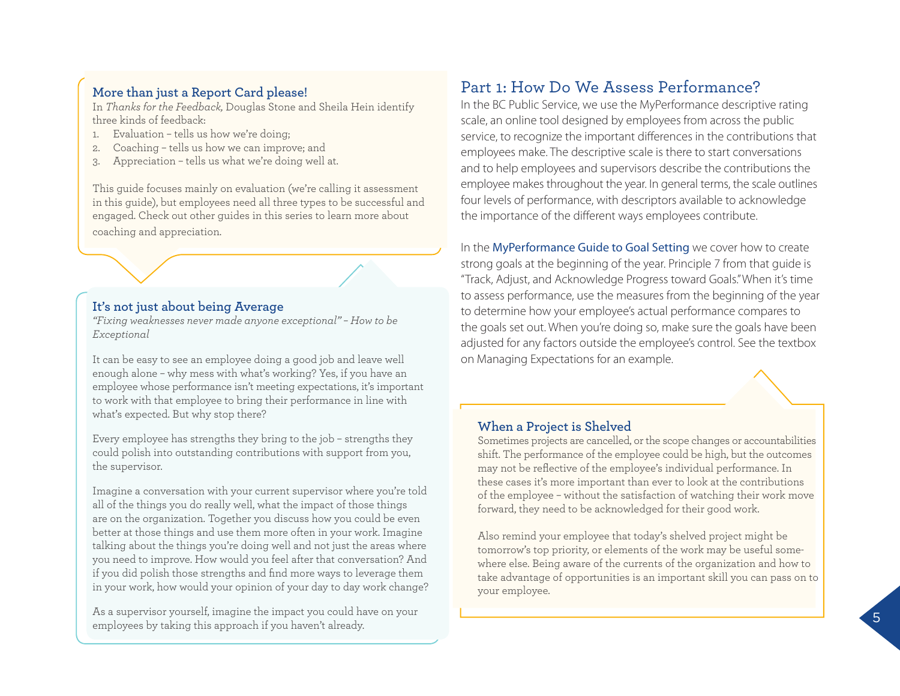#### **More than just a Report Card please!**

In *Thanks for the Feedback,* Douglas Stone and Sheila Hein identify three kinds of feedback:

- 1. Evaluation tells us how we're doing;
- 2. Coaching tells us how we can improve; and
- 3. Appreciation tells us what we're doing well at.

This guide focuses mainly on evaluation (we're calling it assessment in this guide), but employees need all three types to be successful and engaged. Check out other guides in this series to learn more about coaching and appreciation.

### **It's not just about being Average**

*"Fixing weaknesses never made anyone exceptional" – How to be Exceptional* 

It can be easy to see an employee doing a good job and leave well enough alone – why mess with what's working? Yes, if you have an employee whose performance isn't meeting expectations, it's important to work with that employee to bring their performance in line with what's expected. But why stop there?

Every employee has strengths they bring to the job – strengths they could polish into outstanding contributions with support from you, the supervisor.

Imagine a conversation with your current supervisor where you're told all of the things you do really well, what the impact of those things are on the organization. Together you discuss how you could be even better at those things and use them more often in your work. Imagine talking about the things you're doing well and not just the areas where you need to improve. How would you feel after that conversation? And if you did polish those strengths and find more ways to leverage them in your work, how would your opinion of your day to day work change?

As a supervisor yourself, imagine the impact you could have on your employees by taking this approach if you haven't already.

# Part 1: How Do We Assess Performance?

In the BC Public Service, we use the MyPerformance descriptive rating scale, an online tool designed by employees from across the public service, to recognize the important differences in the contributions that employees make. The descriptive scale is there to start conversations and to help employees and supervisors describe the contributions the employee makes throughout the year. In general terms, the scale outlines four levels of performance, with descriptors available to acknowledge the importance of the different ways employees contribute.

In the [MyPerformance Guide to Goal Setting](http://www2.gov.bc.ca/local/myhr/documents/performance_management/myperformance_goal.pdf) we cover how to create strong goals at the beginning of the year. Principle 7 from that guide is "Track, Adjust, and Acknowledge Progress toward Goals."When it's time to assess performance, use the measures from the beginning of the year to determine how your employee's actual performance compares to the goals set out. When you're doing so, make sure the goals have been adjusted for any factors outside the employee's control. See the textbox on Managing Expectations for an example.

### **When a Project is Shelved**

Sometimes projects are cancelled, or the scope changes or accountabilities shift. The performance of the employee could be high, but the outcomes may not be reflective of the employee's individual performance. In these cases it's more important than ever to look at the contributions of the employee – without the satisfaction of watching their work move forward, they need to be acknowledged for their good work.

Also remind your employee that today's shelved project might be tomorrow's top priority, or elements of the work may be useful somewhere else. Being aware of the currents of the organization and how to take advantage of opportunities is an important skill you can pass on to your employee.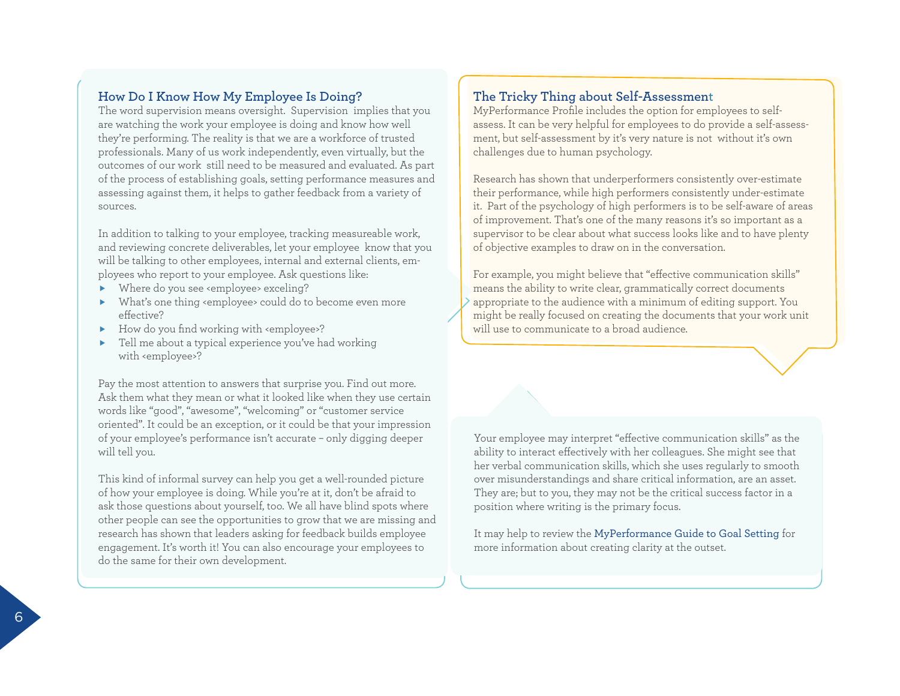#### **How Do I Know How My Employee Is Doing?**

The word supervision means oversight. Supervision implies that you are watching the work your employee is doing and know how well they're performing. The reality is that we are a workforce of trusted professionals. Many of us work independently, even virtually, but the outcomes of our work still need to be measured and evaluated. As part of the process of establishing goals, setting performance measures and assessing against them, it helps to gather feedback from a variety of sources.

In addition to talking to your employee, tracking measureable work, and reviewing concrete deliverables, let your employee know that you will be talking to other employees, internal and external clients, employees who report to your employee. Ask questions like:

- Where do you see <employee> exceling?
- What's one thing <employee> could do to become even more effective?
- How do you find working with <employee>?
- Tell me about a typical experience you've had working with <employee>?

Pay the most attention to answers that surprise you. Find out more. Ask them what they mean or what it looked like when they use certain words like "good", "awesome", "welcoming" or "customer service oriented". It could be an exception, or it could be that your impression of your employee's performance isn't accurate – only digging deeper will tell you.

This kind of informal survey can help you get a well-rounded picture of how your employee is doing. While you're at it, don't be afraid to ask those questions about yourself, too. We all have blind spots where other people can see the opportunities to grow that we are missing and research has shown that leaders asking for feedback builds employee engagement. It's worth it! You can also encourage your employees to do the same for their own development.

### **The Tricky Thing about Self-Assessment**

MyPerformance Profile includes the option for employees to selfassess. It can be very helpful for employees to do provide a self-assessment, but self-assessment by it's very nature is not without it's own challenges due to human psychology.

Research has shown that underperformers consistently over-estimate their performance, while high performers consistently under-estimate it. Part of the psychology of high performers is to be self-aware of areas of improvement. That's one of the many reasons it's so important as a supervisor to be clear about what success looks like and to have plenty of objective examples to draw on in the conversation.

For example, you might believe that "effective communication skills" means the ability to write clear, grammatically correct documents appropriate to the audience with a minimum of editing support. You might be really focused on creating the documents that your work unit will use to communicate to a broad audience.

Your employee may interpret "effective communication skills" as the ability to interact effectively with her colleagues. She might see that her verbal communication skills, which she uses regularly to smooth over misunderstandings and share critical information, are an asset. They are; but to you, they may not be the critical success factor in a position where writing is the primary focus.

It may help to review the [MyPerformance Guide to Goal Setting](http://www2.gov.bc.ca/local/myhr/documents/performance_management/myperformance_goal.pdf) for more information about creating clarity at the outset.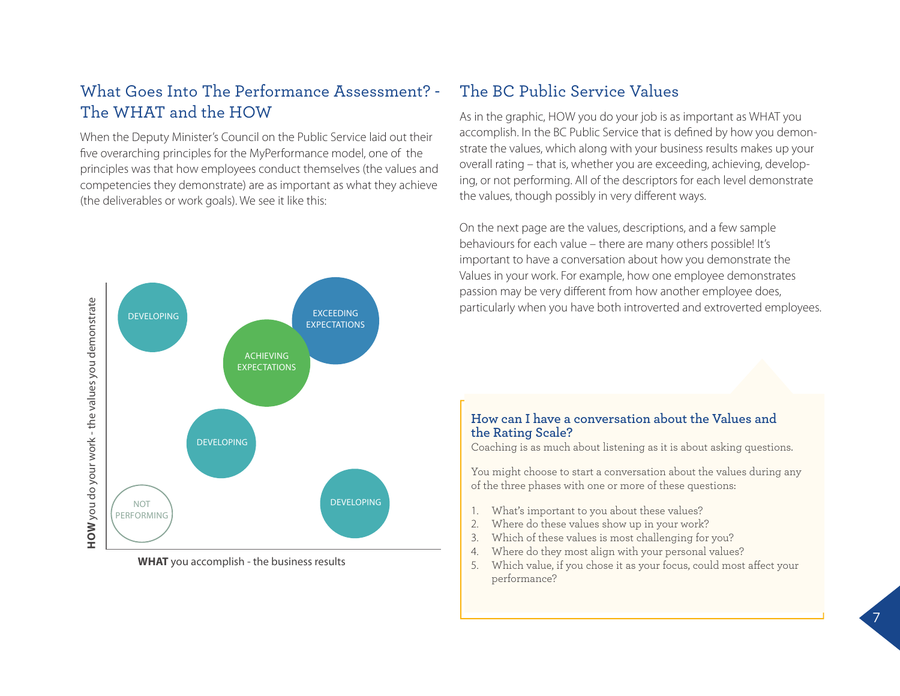# What Goes Into The Performance Assessment? The WHAT and the HOW

When the Deputy Minister's Council on the Public Service laid out their five overarching principles for the MyPerformance model, one of the principles was that how employees conduct themselves (the values and competencies they demonstrate) are as important as what they achieve (the deliverables or work goals). We see it like this:



**WHAT** you accomplish - the business results

### The BC Public Service Values

As in the graphic, HOW you do your job is as important as WHAT you accomplish. In the BC Public Service that is defined by how you demonstrate the values, which along with your business results makes up your overall rating – that is, whether you are exceeding, achieving, developing, or not performing. All of the descriptors for each level demonstrate the values, though possibly in very different ways.

On the next page are the values, descriptions, and a few sample behaviours for each value – there are many others possible! It's important to have a conversation about how you demonstrate the Values in your work. For example, how one employee demonstrates passion may be very different from how another employee does, particularly when you have both introverted and extroverted employees.

#### **How can I have a conversation about the Values and the Rating Scale?**

Coaching is as much about listening as it is about asking questions.

You might choose to start a conversation about the values during any of the three phases with one or more of these questions:

- 1. What's important to you about these values?
- 2. Where do these values show up in your work?
- 3. Which of these values is most challenging for you?
- 4. Where do they most align with your personal values?
- 5. Which value, if you chose it as your focus, could most affect your performance?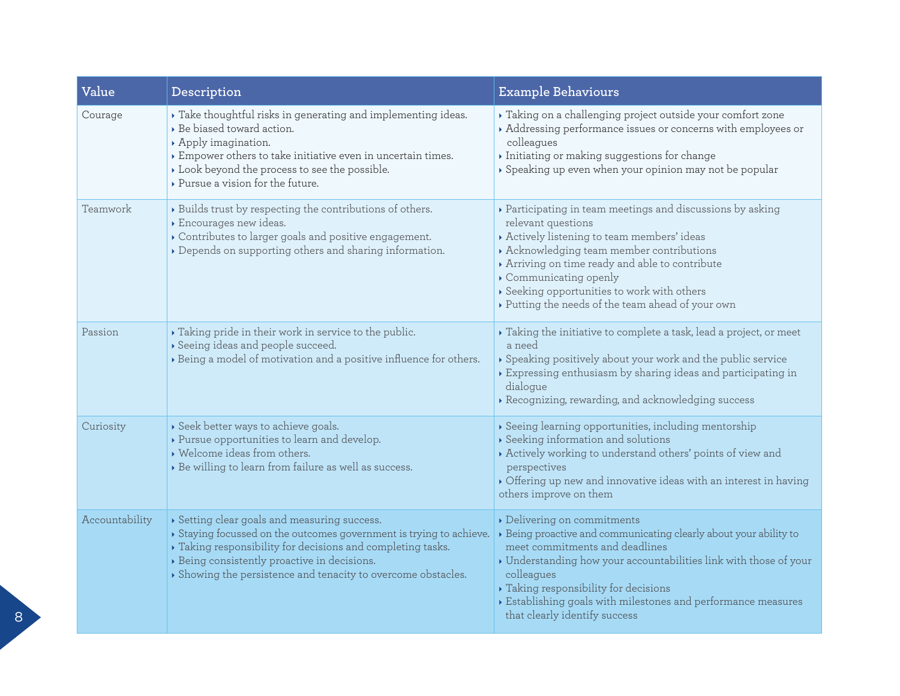| Value          | Description                                                                                                                                                                                                                                                                                 | <b>Example Behaviours</b>                                                                                                                                                                                                                                                                                                                                                                       |  |  |  |
|----------------|---------------------------------------------------------------------------------------------------------------------------------------------------------------------------------------------------------------------------------------------------------------------------------------------|-------------------------------------------------------------------------------------------------------------------------------------------------------------------------------------------------------------------------------------------------------------------------------------------------------------------------------------------------------------------------------------------------|--|--|--|
| Courage        | > Take thoughtful risks in generating and implementing ideas.<br>Be biased toward action.<br>Apply imagination.<br>Empower others to take initiative even in uncertain times.<br>Look beyond the process to see the possible.<br>▶ Pursue a vision for the future.                          | ▶ Taking on a challenging project outside your comfort zone<br>Addressing performance issues or concerns with employees or<br>colleagues<br>Initiating or making suggestions for change<br>Speaking up even when your opinion may not be popular                                                                                                                                                |  |  |  |
| Teamwork       | > Builds trust by respecting the contributions of others.<br>Encourages new ideas.<br>Contributes to larger goals and positive engagement.<br>Depends on supporting others and sharing information.                                                                                         | ▶ Participating in team meetings and discussions by asking<br>relevant questions<br>Actively listening to team members' ideas<br>Acknowledging team member contributions<br>Arriving on time ready and able to contribute<br>Communicating openly<br>Seeking opportunities to work with others<br>Putting the needs of the team ahead of your own                                               |  |  |  |
| Passion        | Taking pride in their work in service to the public.<br>Seeing ideas and people succeed.<br>> Being a model of motivation and a positive influence for others.                                                                                                                              | $\triangleright$ Taking the initiative to complete a task, lead a project, or meet<br>a need<br>Speaking positively about your work and the public service<br>$\rightarrow$ Expressing enthusiasm by sharing ideas and participating in<br>dialogue<br>Recognizing, rewarding, and acknowledging success                                                                                        |  |  |  |
| Curiosity      | Seek better ways to achieve goals.<br>▶ Pursue opportunities to learn and develop.<br>• Welcome ideas from others.<br>> Be willing to learn from failure as well as success.                                                                                                                | Seeing learning opportunities, including mentorship<br>$\rightarrow$ Seeking information and solutions<br>Actively working to understand others' points of view and<br>perspectives<br>$\triangleright$ Offering up new and innovative ideas with an interest in having<br>others improve on them                                                                                               |  |  |  |
| Accountability | Setting clear goals and measuring success.<br>Staying focussed on the outcomes government is trying to achieve.<br>Taking responsibility for decisions and completing tasks.<br>> Being consistently proactive in decisions.<br>Showing the persistence and tenacity to overcome obstacles. | Delivering on commitments<br>> Being proactive and communicating clearly about your ability to<br>meet commitments and deadlines<br>$\blacktriangleright$ Understanding how your accountabilities link with those of your<br>colleagues<br>Taking responsibility for decisions<br>$\triangleright$ Establishing goals with milestones and performance measures<br>that clearly identify success |  |  |  |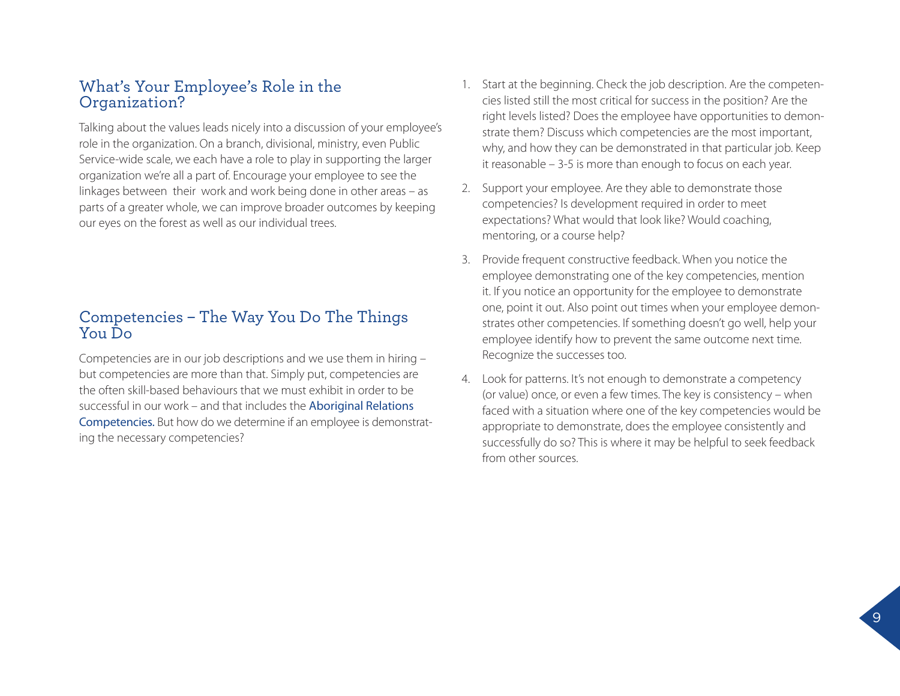### What's Your Employee's Role in the Organization?

Talking about the values leads nicely into a discussion of your employee's role in the organization. On a branch, divisional, ministry, even Public Service-wide scale, we each have a role to play in supporting the larger organization we're all a part of. Encourage your employee to see the linkages between their work and work being done in other areas – as parts of a greater whole, we can improve broader outcomes by keeping our eyes on the forest as well as our individual trees.

### Competencies – The Way You Do The Things You Do

Competencies are in our job descriptions and we use them in hiring – but competencies are more than that. Simply put, competencies are the often skill-based behaviours that we must exhibit in order to be successful in our work – and that includes the [Aboriginal Relations](http://www2.gov.bc.ca/local/myhr/documents/jobs_hiring/aboriginal_relations_behavioural_competencies_printable_version.pdf)  [Competencies.](http://www2.gov.bc.ca/local/myhr/documents/jobs_hiring/aboriginal_relations_behavioural_competencies_printable_version.pdf) But how do we determine if an employee is demonstrating the necessary competencies?

- 1. Start at the beginning. Check the job description. Are the competencies listed still the most critical for success in the position? Are the right levels listed? Does the employee have opportunities to demonstrate them? Discuss which competencies are the most important, why, and how they can be demonstrated in that particular job. Keep it reasonable – 3-5 is more than enough to focus on each year.
- 2. Support your employee. Are they able to demonstrate those competencies? Is development required in order to meet expectations? What would that look like? Would coaching, mentoring, or a course help?
- 3. Provide frequent constructive feedback. When you notice the employee demonstrating one of the key competencies, mention it. If you notice an opportunity for the employee to demonstrate one, point it out. Also point out times when your employee demonstrates other competencies. If something doesn't go well, help your employee identify how to prevent the same outcome next time. Recognize the successes too.
- 4. Look for patterns. It's not enough to demonstrate a competency (or value) once, or even a few times. The key is consistency – when faced with a situation where one of the key competencies would be appropriate to demonstrate, does the employee consistently and successfully do so? This is where it may be helpful to seek feedback from other sources.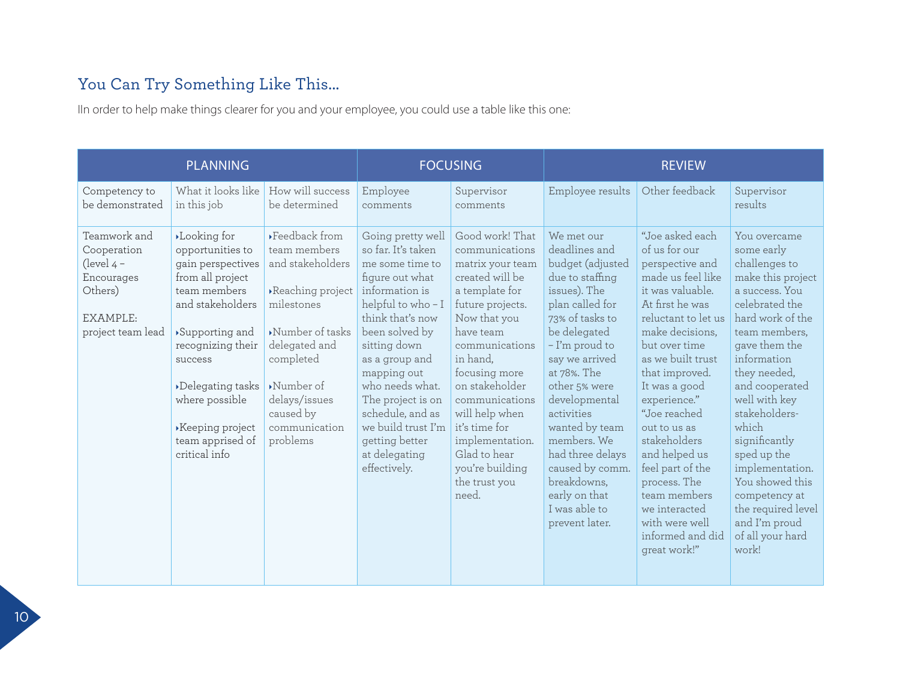# You Can Try Something Like This...

IIn order to help make things clearer for you and your employee, you could use a table like this one:

| <b>PLANNING</b>                                                                                       |                                                                                                                                                                                                                                                                 |                                                                                                                                                                                                                                                           | <b>FOCUSING</b>                                                                                                                                                                                                                                                                                                                                 |                                                                                                                                                                                                                                                                                                                                                   | <b>REVIEW</b>                                                                                                                                                                                                                                                                                                                                                                          |                                                                                                                                                                                                                                                                                                                                                                                                                                                 |                                                                                                                                                                                                                                                                                                                                                                                                                   |
|-------------------------------------------------------------------------------------------------------|-----------------------------------------------------------------------------------------------------------------------------------------------------------------------------------------------------------------------------------------------------------------|-----------------------------------------------------------------------------------------------------------------------------------------------------------------------------------------------------------------------------------------------------------|-------------------------------------------------------------------------------------------------------------------------------------------------------------------------------------------------------------------------------------------------------------------------------------------------------------------------------------------------|---------------------------------------------------------------------------------------------------------------------------------------------------------------------------------------------------------------------------------------------------------------------------------------------------------------------------------------------------|----------------------------------------------------------------------------------------------------------------------------------------------------------------------------------------------------------------------------------------------------------------------------------------------------------------------------------------------------------------------------------------|-------------------------------------------------------------------------------------------------------------------------------------------------------------------------------------------------------------------------------------------------------------------------------------------------------------------------------------------------------------------------------------------------------------------------------------------------|-------------------------------------------------------------------------------------------------------------------------------------------------------------------------------------------------------------------------------------------------------------------------------------------------------------------------------------------------------------------------------------------------------------------|
| Competency to<br>be demonstrated                                                                      | What it looks like<br>in this job                                                                                                                                                                                                                               | How will success<br>be determined                                                                                                                                                                                                                         | Employee<br>comments                                                                                                                                                                                                                                                                                                                            | Supervisor<br>comments                                                                                                                                                                                                                                                                                                                            | Employee results                                                                                                                                                                                                                                                                                                                                                                       | Other feedback                                                                                                                                                                                                                                                                                                                                                                                                                                  | Supervisor<br>results                                                                                                                                                                                                                                                                                                                                                                                             |
| Teamwork and<br>Cooperation<br>(level $4 -$<br>Encourages<br>Others)<br>EXAMPLE:<br>project team lead | Looking for<br>opportunities to<br>gain perspectives<br>from all project<br>team members<br>and stakeholders<br>▶Supporting and<br>recognizing their<br>success<br>Delegating tasks<br>where possible<br>▶ Keeping project<br>team apprised of<br>critical info | ▶Feedback from<br>team members<br>and stakeholders<br>Reaching project<br>milestones<br>$\blacktriangleright$ Number of tasks<br>delegated and<br>completed<br>$\blacktriangleright$ Number of<br>delays/issues<br>caused by<br>communication<br>problems | Going pretty well<br>so far. It's taken<br>me some time to<br>figure out what<br>information is<br>helpful to who-I<br>think that's now<br>been solved by<br>sitting down<br>as a group and<br>mapping out<br>who needs what.<br>The project is on<br>schedule, and as<br>we build trust I'm<br>getting better<br>at delegating<br>effectively. | Good work! That<br>communications<br>matrix your team<br>created will be<br>a template for<br>future projects.<br>Now that you<br>have team<br>communications<br>in hand,<br>focusing more<br>on stakeholder<br>communications<br>will help when<br>it's time for<br>implementation.<br>Glad to hear<br>you're building<br>the trust you<br>need. | We met our<br>deadlines and<br>budget (adjusted<br>due to staffing<br>issues). The<br>plan called for<br>73% of tasks to<br>be delegated<br>- I'm proud to<br>say we arrived<br>at 78%. The<br>other 5% were<br>developmental<br>activities<br>wanted by team<br>members. We<br>had three delays<br>caused by comm.<br>breakdowns,<br>early on that<br>I was able to<br>prevent later. | "Joe asked each<br>of us for our<br>perspective and<br>made us feel like<br>it was valuable.<br>At first he was<br>reluctant to let us<br>make decisions,<br>but over time<br>as we built trust<br>that improved.<br>It was a good<br>experience."<br>"Joe reached"<br>out to us as<br>stakeholders<br>and helped us<br>feel part of the<br>process. The<br>team members<br>we interacted<br>with were well<br>informed and did<br>great work!" | You overcame<br>some early<br>challenges to<br>make this project<br>a success. You<br>celebrated the<br>hard work of the<br>team members,<br>gave them the<br>information<br>they needed,<br>and cooperated<br>well with key<br>stakeholders-<br>which<br>significantly<br>sped up the<br>implementation.<br>You showed this<br>competency at<br>the required level<br>and I'm proud<br>of all your hard<br>work! |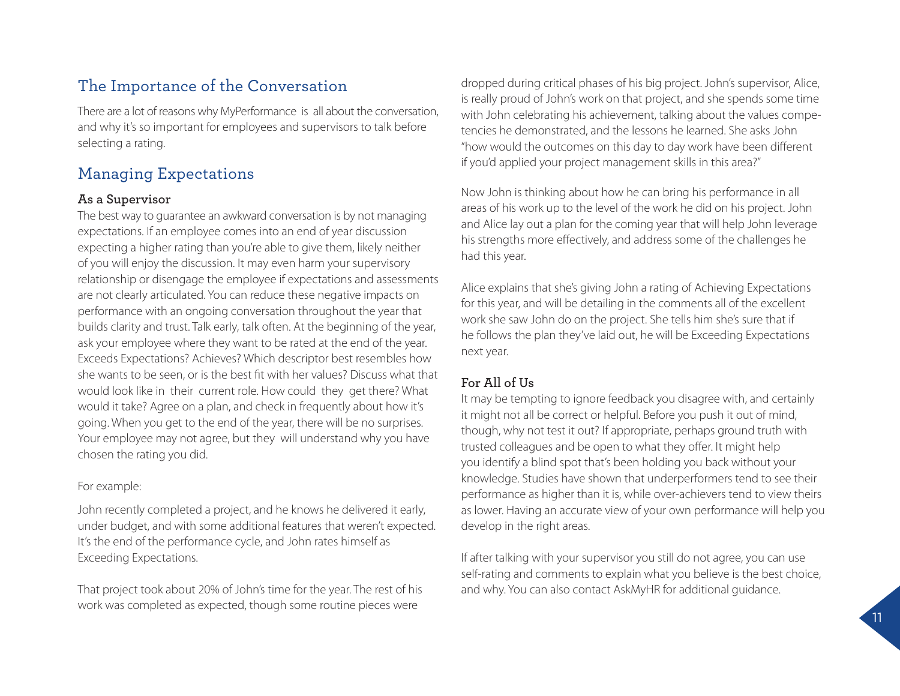# The Importance of the Conversation

There are a lot of reasons why MyPerformance is all about the conversation, and why it's so important for employees and supervisors to talk before selecting a rating.

# Managing Expectations

#### **As a Supervisor**

The best way to guarantee an awkward conversation is by not managing expectations. If an employee comes into an end of year discussion expecting a higher rating than you're able to give them, likely neither of you will enjoy the discussion. It may even harm your supervisory relationship or disengage the employee if expectations and assessments are not clearly articulated. You can reduce these negative impacts on performance with an ongoing conversation throughout the year that builds clarity and trust. Talk early, talk often. At the beginning of the year, ask your employee where they want to be rated at the end of the year. Exceeds Expectations? Achieves? Which descriptor best resembles how she wants to be seen, or is the best fit with her values? Discuss what that would look like in their current role. How could they get there? What would it take? Agree on a plan, and check in frequently about how it's going. When you get to the end of the year, there will be no surprises. Your employee may not agree, but they will understand why you have chosen the rating you did.

#### For example:

John recently completed a project, and he knows he delivered it early, under budget, and with some additional features that weren't expected. It's the end of the performance cycle, and John rates himself as Exceeding Expectations.

That project took about 20% of John's time for the year. The rest of his work was completed as expected, though some routine pieces were

dropped during critical phases of his big project. John's supervisor, Alice, is really proud of John's work on that project, and she spends some time with John celebrating his achievement, talking about the values competencies he demonstrated, and the lessons he learned. She asks John "how would the outcomes on this day to day work have been different if you'd applied your project management skills in this area?"

Now John is thinking about how he can bring his performance in all areas of his work up to the level of the work he did on his project. John and Alice lay out a plan for the coming year that will help John leverage his strengths more effectively, and address some of the challenges he had this year.

Alice explains that she's giving John a rating of Achieving Expectations for this year, and will be detailing in the comments all of the excellent work she saw John do on the project. She tells him she's sure that if he follows the plan they've laid out, he will be Exceeding Expectations next year.

### **For All of Us**

It may be tempting to ignore feedback you disagree with, and certainly it might not all be correct or helpful. Before you push it out of mind, though, why not test it out? If appropriate, perhaps ground truth with trusted colleagues and be open to what they offer. It might help you identify a blind spot that's been holding you back without your knowledge. Studies have shown that underperformers tend to see their performance as higher than it is, while over-achievers tend to view theirs as lower. Having an accurate view of your own performance will help you develop in the right areas.

If after talking with your supervisor you still do not agree, you can use self-rating and comments to explain what you believe is the best choice, and why. You can also contact AskMyHR for additional guidance.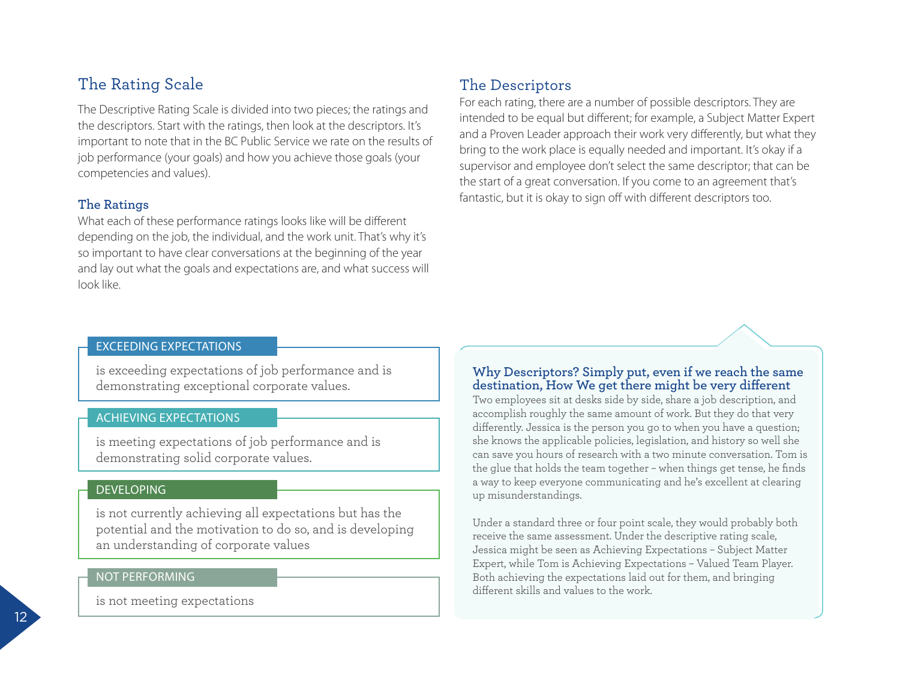# The Rating Scale

The Descriptive Rating Scale is divided into two pieces; the ratings and the descriptors. Start with the ratings, then look at the descriptors. It's important to note that in the BC Public Service we rate on the results of job performance (your goals) and how you achieve those goals (your competencies and values).

#### **The Ratings**

What each of these performance ratings looks like will be different depending on the job, the individual, and the work unit. That's why it's so important to have clear conversations at the beginning of the year and lay out what the goals and expectations are, and what success will look like.

# The Descriptors

For each rating, there are a number of possible descriptors. They are intended to be equal but different; for example, a Subject Matter Expert and a Proven Leader approach their work very differently, but what they bring to the work place is equally needed and important. It's okay if a supervisor and employee don't select the same descriptor; that can be the start of a great conversation. If you come to an agreement that's fantastic, but it is okay to sign off with different descriptors too.

#### EXCEEDING EXPECTATIONS

is exceeding expectations of job performance and is demonstrating exceptional corporate values.

#### ACHIEVING EXPECTATIONS

is meeting expectations of job performance and is demonstrating solid corporate values.

#### DEVELOPING

is not currently achieving all expectations but has the potential and the motivation to do so, and is developing an understanding of corporate values

#### NOT PERFORMING

is not meeting expectations

#### **Why Descriptors? Simply put, even if we reach the same destination, How We get there might be very different**

Two employees sit at desks side by side, share a job description, and accomplish roughly the same amount of work. But they do that very differently. Jessica is the person you go to when you have a question; she knows the applicable policies, legislation, and history so well she can save you hours of research with a two minute conversation. Tom is the glue that holds the team together – when things get tense, he finds a way to keep everyone communicating and he's excellent at clearing up misunderstandings.

Under a standard three or four point scale, they would probably both receive the same assessment. Under the descriptive rating scale, Jessica might be seen as Achieving Expectations – Subject Matter Expert, while Tom is Achieving Expectations – Valued Team Player. Both achieving the expectations laid out for them, and bringing different skills and values to the work.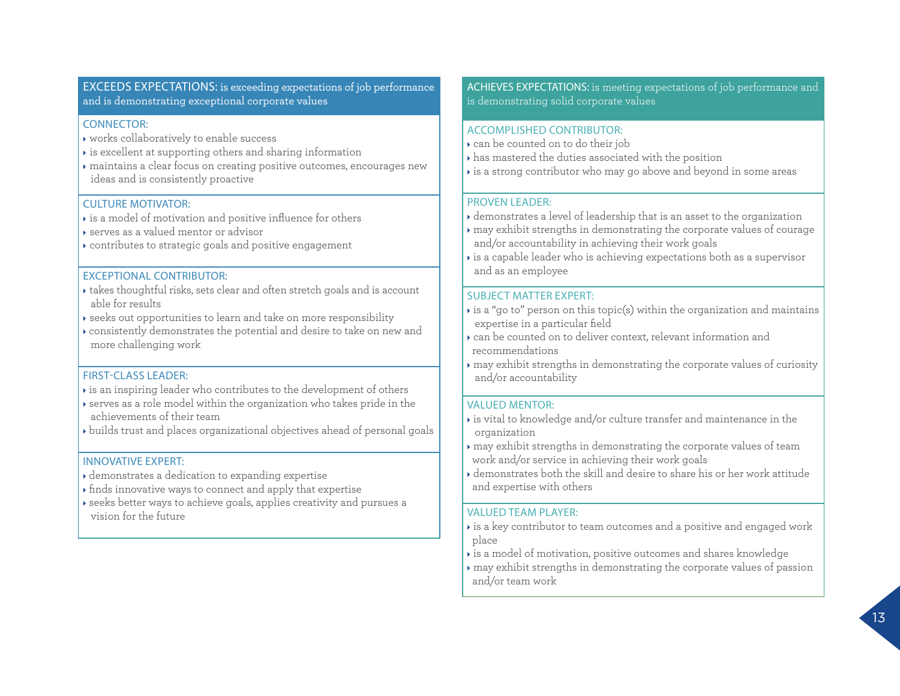#### EXCEEDS EXPECTATIONS: is exceeding expectations of job performance and is demonstrating exceptional corporate values

#### CONNECTOR:

- works collaboratively to enable success
- is excellent at supporting others and sharing information
- maintains a clear focus on creating positive outcomes, encourages new ideas and is consistently proactive

#### CULTURE MOTIVATOR:

- is a model of motivation and positive influence for others
- serves as a valued mentor or advisor
- contributes to strategic goals and positive engagement

#### EXCEPTIONAL CONTRIBUTOR:

- takes thoughtful risks, sets clear and often stretch goals and is account able for results
- seeks out opportunities to learn and take on more responsibility
- consistently demonstrates the potential and desire to take on new and more challenging work

#### FIRST-CLASS LEADER:

- is an inspiring leader who contributes to the development of others
- serves as a role model within the organization who takes pride in the achievements of their team
- builds trust and places organizational objectives ahead of personal goals

#### INNOVATIVE EXPERT:

- demonstrates a dedication to expanding expertise
- finds innovative ways to connect and apply that expertise
- seeks better ways to achieve goals, applies creativity and pursues a vision for the future

#### ACHIEVES EXPECTATIONS: is meeting expectations of job performance and is demonstrating solid corporate values

#### ACCOMPLISHED CONTRIBUTOR:

- can be counted on to do their job
- has mastered the duties associated with the position
- is a strong contributor who may go above and beyond in some areas

#### PROVEN LEADER:

- demonstrates a level of leadership that is an asset to the organization
- may exhibit strengths in demonstrating the corporate values of courage and/or accountability in achieving their work goals
- $\rightarrow$  is a capable leader who is achieving expectations both as a supervisor and as an employee

#### SUBJECT MATTER EXPERT:

- $\rightarrow$  is a "go to" person on this topic(s) within the organization and maintains expertise in a particular field
- can be counted on to deliver context, relevant information and recommendations
- may exhibit strengths in demonstrating the corporate values of curiosity and/or accountability

#### VALUED MENTOR:

- $\rightarrow$  is vital to knowledge and/or culture transfer and maintenance in the organization
- may exhibit strengths in demonstrating the corporate values of team work and/or service in achieving their work goals
- demonstrates both the skill and desire to share his or her work attitude and expertise with others

#### VALUED TEAM PLAYER:

- is a key contributor to team outcomes and a positive and engaged work place
- $\rightarrow$  is a model of motivation, positive outcomes and shares knowledge
- may exhibit strengths in demonstrating the corporate values of passion and/or team work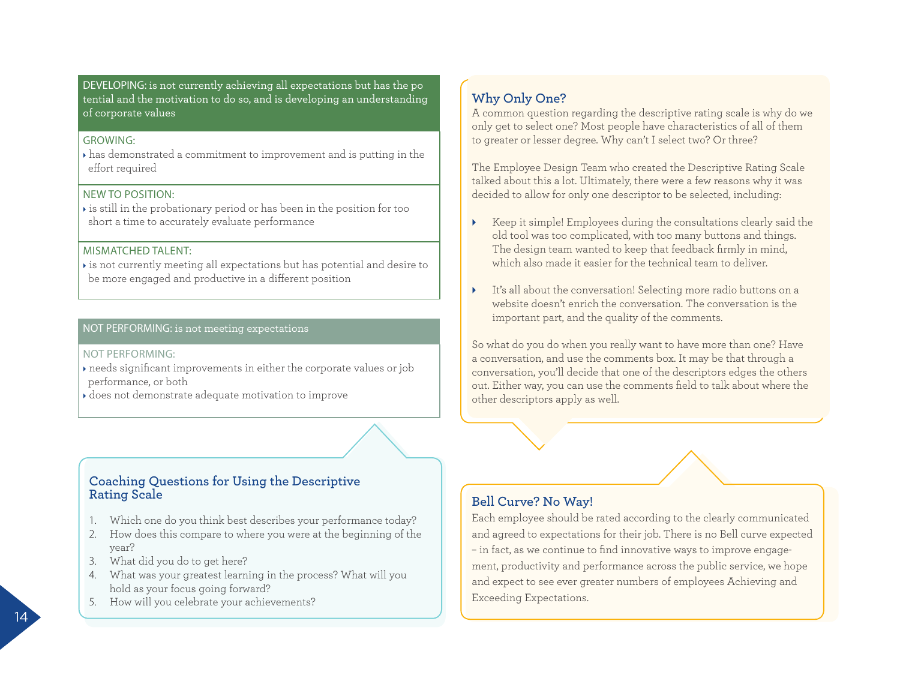DEVELOPING: is not currently achieving all expectations but has the po tential and the motivation to do so, and is developing an understanding of corporate values

#### GROWING:

 has demonstrated a commitment to improvement and is putting in the effort required

#### NEW TO POSITION:

 $\rightarrow$  is still in the probationary period or has been in the position for too short a time to accurately evaluate performance

#### MISMATCHED TAI FNT:

 $\star$  is not currently meeting all expectations but has potential and desire to be more engaged and productive in a different position

#### NOT PERFORMING: is not meeting expectations

#### NOT PERFORMING:

 needs significant improvements in either the corporate values or job performance, or both

does not demonstrate adequate motivation to improve

#### **Coaching Questions for Using the Descriptive Rating Scale**

- 1. Which one do you think best describes your performance today?
- 2. How does this compare to where you were at the beginning of the year?
- 3. What did you do to get here?
- 4. What was your greatest learning in the process? What will you hold as your focus going forward?
- 5. How will you celebrate your achievements?

#### **Why Only One?**

A common question regarding the descriptive rating scale is why do we only get to select one? Most people have characteristics of all of them to greater or lesser degree. Why can't I select two? Or three?

The Employee Design Team who created the Descriptive Rating Scale talked about this a lot. Ultimately, there were a few reasons why it was decided to allow for only one descriptor to be selected, including:

- Keep it simple! Employees during the consultations clearly said the old tool was too complicated, with too many buttons and things. The design team wanted to keep that feedback firmly in mind, which also made it easier for the technical team to deliver.
- It's all about the conversation! Selecting more radio buttons on a website doesn't enrich the conversation. The conversation is the important part, and the quality of the comments.

So what do you do when you really want to have more than one? Have a conversation, and use the comments box. It may be that through a conversation, you'll decide that one of the descriptors edges the others out. Either way, you can use the comments field to talk about where the other descriptors apply as well.

#### **Bell Curve? No Way!**

Each employee should be rated according to the clearly communicated and agreed to expectations for their job. There is no Bell curve expected – in fact, as we continue to find innovative ways to improve engagement, productivity and performance across the public service, we hope and expect to see ever greater numbers of employees Achieving and Exceeding Expectations.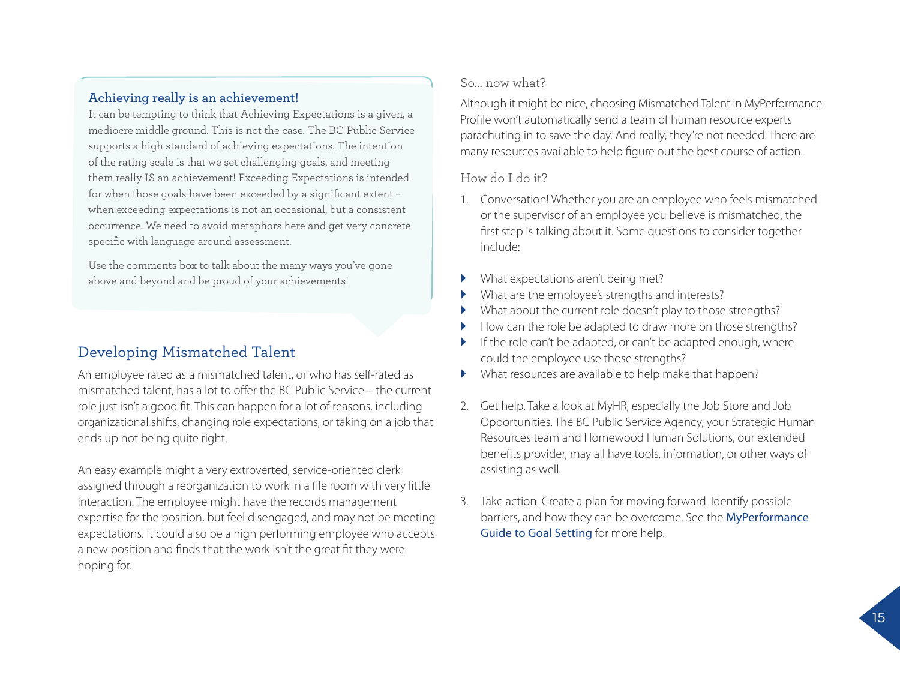#### **Achieving really is an achievement!**

It can be tempting to think that Achieving Expectations is a given, a mediocre middle ground. This is not the case. The BC Public Service supports a high standard of achieving expectations. The intention of the rating scale is that we set challenging goals, and meeting them really IS an achievement! Exceeding Expectations is intended for when those goals have been exceeded by a significant extent – when exceeding expectations is not an occasional, but a consistent occurrence. We need to avoid metaphors here and get very concrete specific with language around assessment.

Use the comments box to talk about the many ways you've gone above and beyond and be proud of your achievements!

### Developing Mismatched Talent

An employee rated as a mismatched talent, or who has self-rated as mismatched talent, has a lot to offer the BC Public Service – the current role just isn't a good fit. This can happen for a lot of reasons, including organizational shifts, changing role expectations, or taking on a job that ends up not being quite right.

An easy example might a very extroverted, service-oriented clerk assigned through a reorganization to work in a file room with very little interaction. The employee might have the records management expertise for the position, but feel disengaged, and may not be meeting expectations. It could also be a high performing employee who accepts a new position and finds that the work isn't the great fit they were hoping for.

#### So… now what?

Although it might be nice, choosing Mismatched Talent in MyPerformance Profile won't automatically send a team of human resource experts parachuting in to save the day. And really, they're not needed. There are many resources available to help figure out the best course of action.

#### How do I do it?

- 1. Conversation! Whether you are an employee who feels mismatched or the supervisor of an employee you believe is mismatched, the first step is talking about it. Some questions to consider together include:
- What expectations aren't being met?
- What are the employee's strengths and interests?
- What about the current role doesn't play to those strengths?
- How can the role be adapted to draw more on those strengths?
- If the role can't be adapted, or can't be adapted enough, where could the employee use those strengths?
- What resources are available to help make that happen?
- 2. Get help. Take a look at MyHR, especially the Job Store and Job Opportunities. The BC Public Service Agency, your Strategic Human Resources team and Homewood Human Solutions, our extended benefits provider, may all have tools, information, or other ways of assisting as well.
- 3. Take action. Create a plan for moving forward. Identify possible barriers, and how they can be overcome. See the MyPerformance Guide to Goal Setting for more help.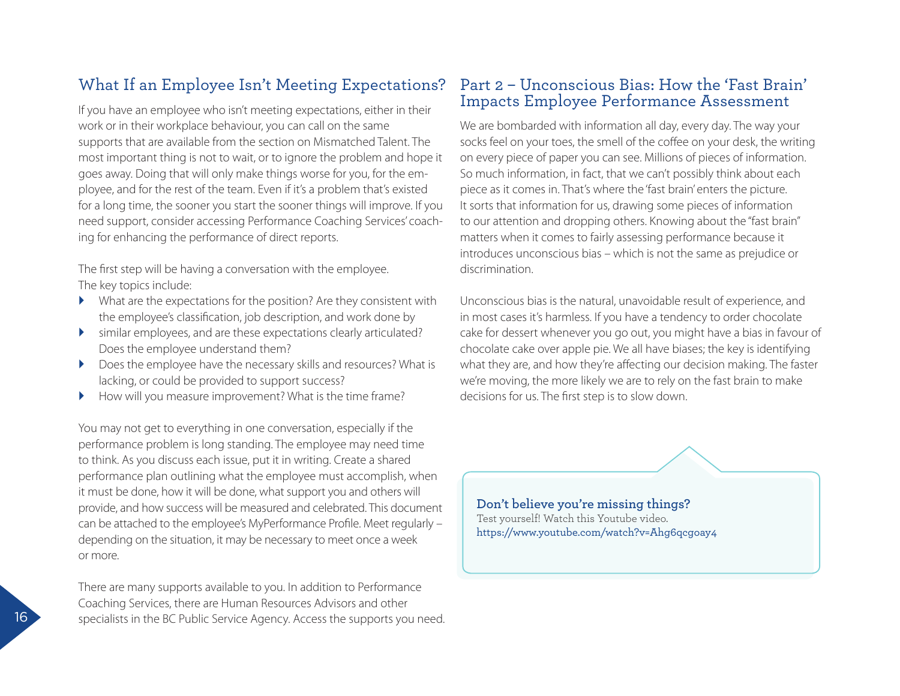# What If an Employee Isn't Meeting Expectations?

If you have an employee who isn't meeting expectations, either in their work or in their workplace behaviour, you can call on the same supports that are available from the section on Mismatched Talent. The most important thing is not to wait, or to ignore the problem and hope it goes away. Doing that will only make things worse for you, for the employee, and for the rest of the team. Even if it's a problem that's existed for a long time, the sooner you start the sooner things will improve. If you need support, consider accessing Performance Coaching Services' coaching for enhancing the performance of direct reports.

The first step will be having a conversation with the employee. The key topics include:

- What are the expectations for the position? Are they consistent with the employee's classification, job description, and work done by
- similar employees, and are these expectations clearly articulated? Does the employee understand them?
- Does the employee have the necessary skills and resources? What is lacking, or could be provided to support success?
- How will you measure improvement? What is the time frame?

 it must be done, how it will be done, what support you and others will You may not get to everything in one conversation, especially if the performance problem is long standing. The employee may need time to think. As you discuss each issue, put it in writing. Create a shared performance plan outlining what the employee must accomplish, when provide, and how success will be measured and celebrated. This document can be attached to the employee's MyPerformance Profile. Meet regularly – depending on the situation, it may be necessary to meet once a week or more.

There are many supports available to you. In addition to Performance Coaching Services, there are Human Resources Advisors and other specialists in the BC Public Service Agency. Access the supports you need.

### Part 2 – Unconscious Bias: How the 'Fast Brain' Impacts Employee Performance Assessment

We are bombarded with information all day, every day. The way your socks feel on your toes, the smell of the coffee on your desk, the writing on every piece of paper you can see. Millions of pieces of information. So much information, in fact, that we can't possibly think about each piece as it comes in. That's where the 'fast brain' enters the picture. It sorts that information for us, drawing some pieces of information to our attention and dropping others. Knowing about the "fast brain" matters when it comes to fairly assessing performance because it introduces unconscious bias – which is not the same as prejudice or discrimination.

Unconscious bias is the natural, unavoidable result of experience, and in most cases it's harmless. If you have a tendency to order chocolate cake for dessert whenever you go out, you might have a bias in favour of chocolate cake over apple pie. We all have biases; the key is identifying what they are, and how they're affecting our decision making. The faster we're moving, the more likely we are to rely on the fast brain to make decisions for us. The first step is to slow down.

**Don't believe you're missing things?**  Test yourself! Watch this Youtube video. <https://www.youtube.com/watch?v=Ahg6qcgoay4>

16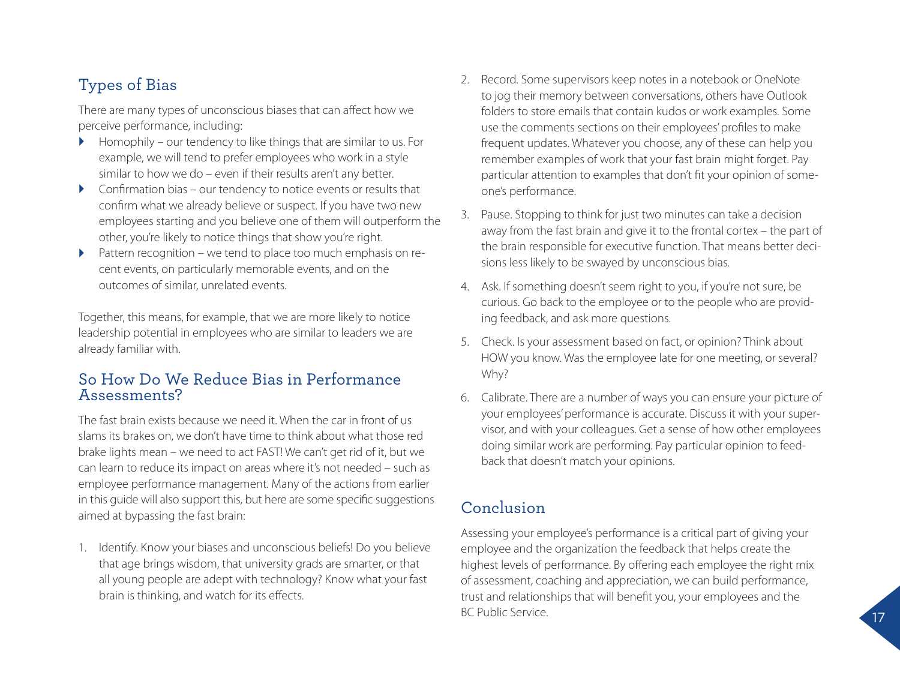# Types of Bias

There are many types of unconscious biases that can affect how we perceive performance, including:

- $\blacktriangleright$  Homophily our tendency to like things that are similar to us. For example, we will tend to prefer employees who work in a style similar to how we do – even if their results aren't any better.
- $\triangleright$  Confirmation bias our tendency to notice events or results that confirm what we already believe or suspect. If you have two new employees starting and you believe one of them will outperform the other, you're likely to notice things that show you're right.
- Pattern recognition we tend to place too much emphasis on recent events, on particularly memorable events, and on the outcomes of similar, unrelated events.

Together, this means, for example, that we are more likely to notice leadership potential in employees who are similar to leaders we are already familiar with.

### So How Do We Reduce Bias in Performance Assessments?

The fast brain exists because we need it. When the car in front of us slams its brakes on, we don't have time to think about what those red brake lights mean – we need to act FAST! We can't get rid of it, but we can learn to reduce its impact on areas where it's not needed – such as employee performance management. Many of the actions from earlier in this guide will also support this, but here are some specific suggestions aimed at bypassing the fast brain:

1. Identify. Know your biases and unconscious beliefs! Do you believe that age brings wisdom, that university grads are smarter, or that all young people are adept with technology? Know what your fast brain is thinking, and watch for its effects.

- 2. Record. Some supervisors keep notes in a notebook or OneNote to jog their memory between conversations, others have Outlook folders to store emails that contain kudos or work examples. Some use the comments sections on their employees' profiles to make frequent updates. Whatever you choose, any of these can help you remember examples of work that your fast brain might forget. Pay particular attention to examples that don't fit your opinion of someone's performance.
- 3. Pause. Stopping to think for just two minutes can take a decision away from the fast brain and give it to the frontal cortex – the part of the brain responsible for executive function. That means better decisions less likely to be swayed by unconscious bias.
- 4. Ask. If something doesn't seem right to you, if you're not sure, be curious. Go back to the employee or to the people who are providing feedback, and ask more questions.
- 5. Check. Is your assessment based on fact, or opinion? Think about HOW you know. Was the employee late for one meeting, or several? Why?
- 6. Calibrate. There are a number of ways you can ensure your picture of your employees' performance is accurate. Discuss it with your supervisor, and with your colleagues. Get a sense of how other employees doing similar work are performing. Pay particular opinion to feedback that doesn't match your opinions.

## Conclusion

Assessing your employee's performance is a critical part of giving your employee and the organization the feedback that helps create the highest levels of performance. By offering each employee the right mix of assessment, coaching and appreciation, we can build performance, trust and relationships that will benefit you, your employees and the BC Public Service.